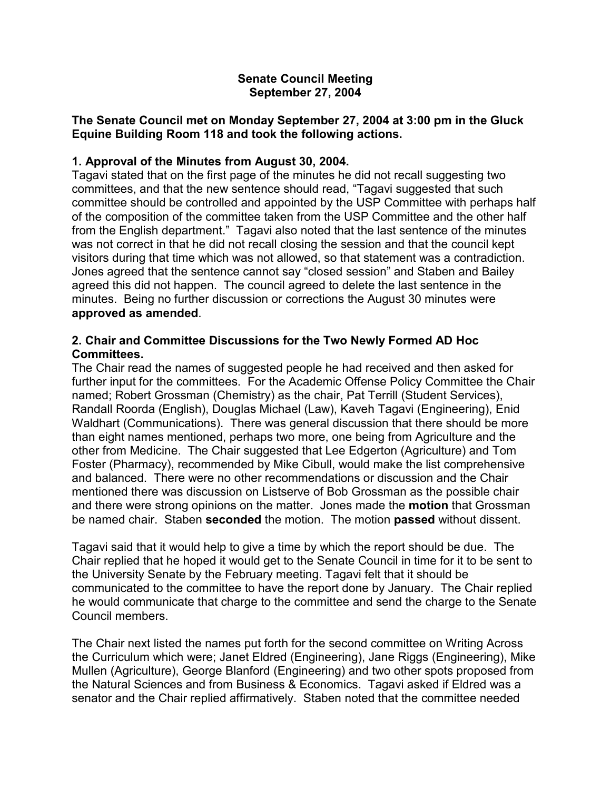### **Senate Council Meeting September 27, 2004**

## **The Senate Council met on Monday September 27, 2004 at 3:00 pm in the Gluck Equine Building Room 118 and took the following actions.**

# **1. Approval of the Minutes from August 30, 2004.**

Tagavi stated that on the first page of the minutes he did not recall suggesting two committees, and that the new sentence should read, "Tagavi suggested that such committee should be controlled and appointed by the USP Committee with perhaps half of the composition of the committee taken from the USP Committee and the other half from the English department." Tagavi also noted that the last sentence of the minutes was not correct in that he did not recall closing the session and that the council kept visitors during that time which was not allowed, so that statement was a contradiction. Jones agreed that the sentence cannot say "closed session" and Staben and Bailey agreed this did not happen. The council agreed to delete the last sentence in the minutes. Being no further discussion or corrections the August 30 minutes were **approved as amended**.

## **2. Chair and Committee Discussions for the Two Newly Formed AD Hoc Committees.**

The Chair read the names of suggested people he had received and then asked for further input for the committees. For the Academic Offense Policy Committee the Chair named; Robert Grossman (Chemistry) as the chair, Pat Terrill (Student Services), Randall Roorda (English), Douglas Michael (Law), Kaveh Tagavi (Engineering), Enid Waldhart (Communications). There was general discussion that there should be more than eight names mentioned, perhaps two more, one being from Agriculture and the other from Medicine. The Chair suggested that Lee Edgerton (Agriculture) and Tom Foster (Pharmacy), recommended by Mike Cibull, would make the list comprehensive and balanced. There were no other recommendations or discussion and the Chair mentioned there was discussion on Listserve of Bob Grossman as the possible chair and there were strong opinions on the matter. Jones made the **motion** that Grossman be named chair. Staben **seconded** the motion. The motion **passed** without dissent.

Tagavi said that it would help to give a time by which the report should be due. The Chair replied that he hoped it would get to the Senate Council in time for it to be sent to the University Senate by the February meeting. Tagavi felt that it should be communicated to the committee to have the report done by January. The Chair replied he would communicate that charge to the committee and send the charge to the Senate Council members.

The Chair next listed the names put forth for the second committee on Writing Across the Curriculum which were; Janet Eldred (Engineering), Jane Riggs (Engineering), Mike Mullen (Agriculture), George Blanford (Engineering) and two other spots proposed from the Natural Sciences and from Business & Economics. Tagavi asked if Eldred was a senator and the Chair replied affirmatively. Staben noted that the committee needed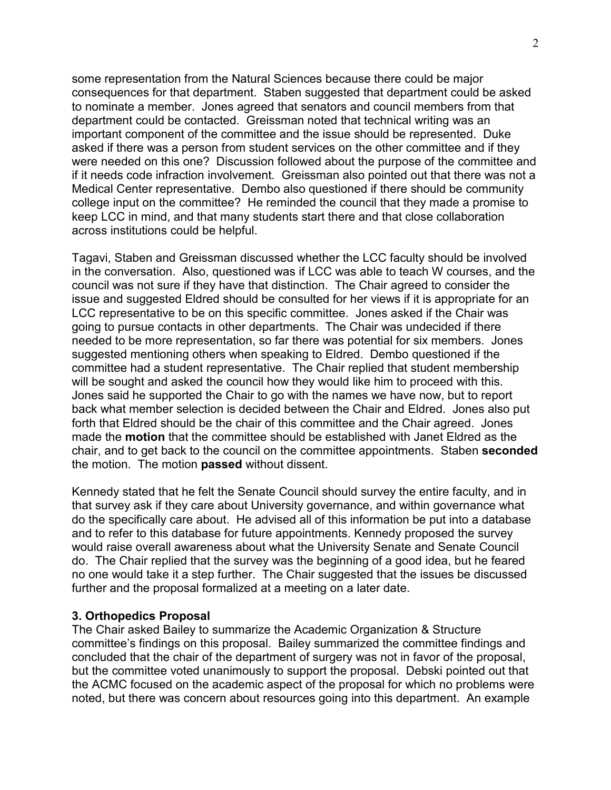some representation from the Natural Sciences because there could be major consequences for that department. Staben suggested that department could be asked to nominate a member. Jones agreed that senators and council members from that department could be contacted. Greissman noted that technical writing was an important component of the committee and the issue should be represented. Duke asked if there was a person from student services on the other committee and if they were needed on this one? Discussion followed about the purpose of the committee and if it needs code infraction involvement. Greissman also pointed out that there was not a Medical Center representative. Dembo also questioned if there should be community college input on the committee? He reminded the council that they made a promise to keep LCC in mind, and that many students start there and that close collaboration across institutions could be helpful.

Tagavi, Staben and Greissman discussed whether the LCC faculty should be involved in the conversation. Also, questioned was if LCC was able to teach W courses, and the council was not sure if they have that distinction. The Chair agreed to consider the issue and suggested Eldred should be consulted for her views if it is appropriate for an LCC representative to be on this specific committee. Jones asked if the Chair was going to pursue contacts in other departments. The Chair was undecided if there needed to be more representation, so far there was potential for six members. Jones suggested mentioning others when speaking to Eldred. Dembo questioned if the committee had a student representative. The Chair replied that student membership will be sought and asked the council how they would like him to proceed with this. Jones said he supported the Chair to go with the names we have now, but to report back what member selection is decided between the Chair and Eldred. Jones also put forth that Eldred should be the chair of this committee and the Chair agreed. Jones made the **motion** that the committee should be established with Janet Eldred as the chair, and to get back to the council on the committee appointments. Staben **seconded** the motion. The motion **passed** without dissent.

Kennedy stated that he felt the Senate Council should survey the entire faculty, and in that survey ask if they care about University governance, and within governance what do the specifically care about. He advised all of this information be put into a database and to refer to this database for future appointments. Kennedy proposed the survey would raise overall awareness about what the University Senate and Senate Council do. The Chair replied that the survey was the beginning of a good idea, but he feared no one would take it a step further. The Chair suggested that the issues be discussed further and the proposal formalized at a meeting on a later date.

### **3. Orthopedics Proposal**

The Chair asked Bailey to summarize the Academic Organization & Structure committee's findings on this proposal. Bailey summarized the committee findings and concluded that the chair of the department of surgery was not in favor of the proposal, but the committee voted unanimously to support the proposal. Debski pointed out that the ACMC focused on the academic aspect of the proposal for which no problems were noted, but there was concern about resources going into this department. An example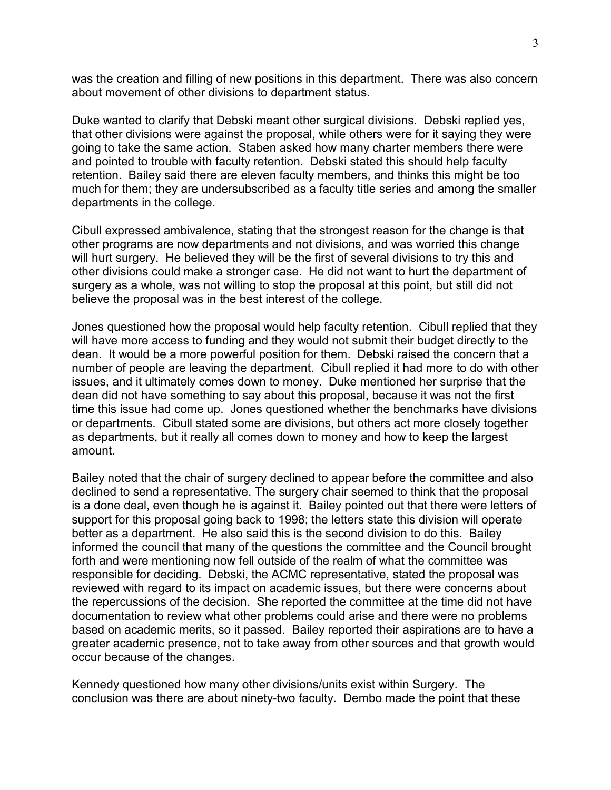was the creation and filling of new positions in this department. There was also concern about movement of other divisions to department status.

Duke wanted to clarify that Debski meant other surgical divisions. Debski replied yes, that other divisions were against the proposal, while others were for it saying they were going to take the same action. Staben asked how many charter members there were and pointed to trouble with faculty retention. Debski stated this should help faculty retention. Bailey said there are eleven faculty members, and thinks this might be too much for them; they are undersubscribed as a faculty title series and among the smaller departments in the college.

Cibull expressed ambivalence, stating that the strongest reason for the change is that other programs are now departments and not divisions, and was worried this change will hurt surgery. He believed they will be the first of several divisions to try this and other divisions could make a stronger case. He did not want to hurt the department of surgery as a whole, was not willing to stop the proposal at this point, but still did not believe the proposal was in the best interest of the college.

Jones questioned how the proposal would help faculty retention. Cibull replied that they will have more access to funding and they would not submit their budget directly to the dean. It would be a more powerful position for them. Debski raised the concern that a number of people are leaving the department. Cibull replied it had more to do with other issues, and it ultimately comes down to money. Duke mentioned her surprise that the dean did not have something to say about this proposal, because it was not the first time this issue had come up. Jones questioned whether the benchmarks have divisions or departments. Cibull stated some are divisions, but others act more closely together as departments, but it really all comes down to money and how to keep the largest amount.

Bailey noted that the chair of surgery declined to appear before the committee and also declined to send a representative. The surgery chair seemed to think that the proposal is a done deal, even though he is against it. Bailey pointed out that there were letters of support for this proposal going back to 1998; the letters state this division will operate better as a department. He also said this is the second division to do this. Bailey informed the council that many of the questions the committee and the Council brought forth and were mentioning now fell outside of the realm of what the committee was responsible for deciding. Debski, the ACMC representative, stated the proposal was reviewed with regard to its impact on academic issues, but there were concerns about the repercussions of the decision. She reported the committee at the time did not have documentation to review what other problems could arise and there were no problems based on academic merits, so it passed. Bailey reported their aspirations are to have a greater academic presence, not to take away from other sources and that growth would occur because of the changes.

Kennedy questioned how many other divisions/units exist within Surgery. The conclusion was there are about ninety-two faculty. Dembo made the point that these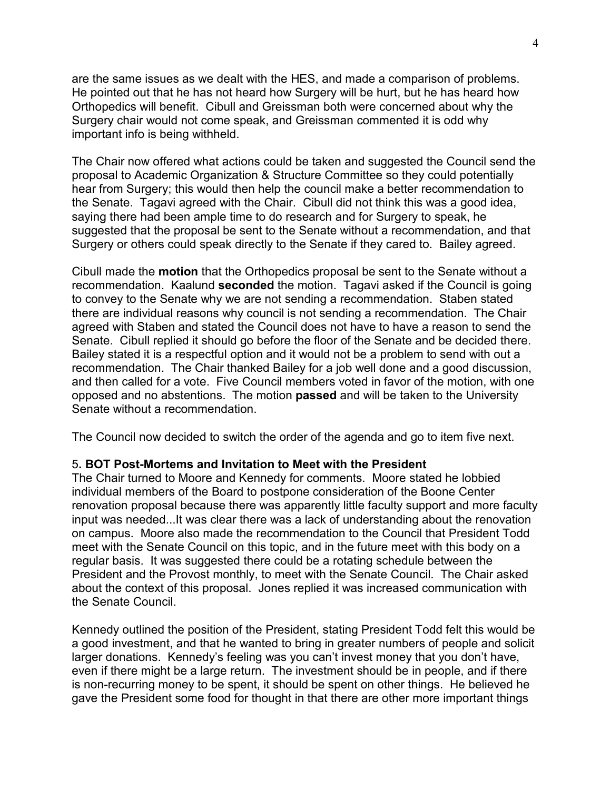are the same issues as we dealt with the HES, and made a comparison of problems. He pointed out that he has not heard how Surgery will be hurt, but he has heard how Orthopedics will benefit. Cibull and Greissman both were concerned about why the Surgery chair would not come speak, and Greissman commented it is odd why important info is being withheld.

The Chair now offered what actions could be taken and suggested the Council send the proposal to Academic Organization & Structure Committee so they could potentially hear from Surgery; this would then help the council make a better recommendation to the Senate. Tagavi agreed with the Chair. Cibull did not think this was a good idea, saying there had been ample time to do research and for Surgery to speak, he suggested that the proposal be sent to the Senate without a recommendation, and that Surgery or others could speak directly to the Senate if they cared to. Bailey agreed.

Cibull made the **motion** that the Orthopedics proposal be sent to the Senate without a recommendation. Kaalund **seconded** the motion. Tagavi asked if the Council is going to convey to the Senate why we are not sending a recommendation. Staben stated there are individual reasons why council is not sending a recommendation. The Chair agreed with Staben and stated the Council does not have to have a reason to send the Senate. Cibull replied it should go before the floor of the Senate and be decided there. Bailey stated it is a respectful option and it would not be a problem to send with out a recommendation. The Chair thanked Bailey for a job well done and a good discussion, and then called for a vote. Five Council members voted in favor of the motion, with one opposed and no abstentions. The motion **passed** and will be taken to the University Senate without a recommendation.

The Council now decided to switch the order of the agenda and go to item five next.

### 5**. BOT Post-Mortems and Invitation to Meet with the President**

The Chair turned to Moore and Kennedy for comments. Moore stated he lobbied individual members of the Board to postpone consideration of the Boone Center renovation proposal because there was apparently little faculty support and more faculty input was needed...It was clear there was a lack of understanding about the renovation on campus. Moore also made the recommendation to the Council that President Todd meet with the Senate Council on this topic, and in the future meet with this body on a regular basis. It was suggested there could be a rotating schedule between the President and the Provost monthly, to meet with the Senate Council. The Chair asked about the context of this proposal. Jones replied it was increased communication with the Senate Council.

Kennedy outlined the position of the President, stating President Todd felt this would be a good investment, and that he wanted to bring in greater numbers of people and solicit larger donations. Kennedy's feeling was you can't invest money that you don't have, even if there might be a large return. The investment should be in people, and if there is non-recurring money to be spent, it should be spent on other things. He believed he gave the President some food for thought in that there are other more important things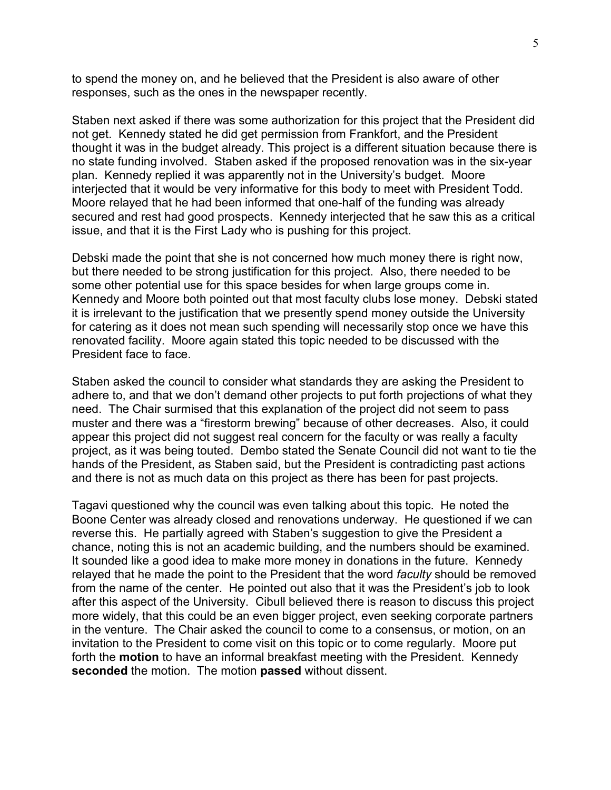to spend the money on, and he believed that the President is also aware of other responses, such as the ones in the newspaper recently.

Staben next asked if there was some authorization for this project that the President did not get. Kennedy stated he did get permission from Frankfort, and the President thought it was in the budget already. This project is a different situation because there is no state funding involved. Staben asked if the proposed renovation was in the six-year plan. Kennedy replied it was apparently not in the University's budget. Moore interjected that it would be very informative for this body to meet with President Todd. Moore relayed that he had been informed that one-half of the funding was already secured and rest had good prospects. Kennedy interjected that he saw this as a critical issue, and that it is the First Lady who is pushing for this project.

Debski made the point that she is not concerned how much money there is right now, but there needed to be strong justification for this project. Also, there needed to be some other potential use for this space besides for when large groups come in. Kennedy and Moore both pointed out that most faculty clubs lose money. Debski stated it is irrelevant to the justification that we presently spend money outside the University for catering as it does not mean such spending will necessarily stop once we have this renovated facility. Moore again stated this topic needed to be discussed with the President face to face.

Staben asked the council to consider what standards they are asking the President to adhere to, and that we don't demand other projects to put forth projections of what they need. The Chair surmised that this explanation of the project did not seem to pass muster and there was a "firestorm brewing" because of other decreases. Also, it could appear this project did not suggest real concern for the faculty or was really a faculty project, as it was being touted. Dembo stated the Senate Council did not want to tie the hands of the President, as Staben said, but the President is contradicting past actions and there is not as much data on this project as there has been for past projects.

Tagavi questioned why the council was even talking about this topic. He noted the Boone Center was already closed and renovations underway. He questioned if we can reverse this. He partially agreed with Staben's suggestion to give the President a chance, noting this is not an academic building, and the numbers should be examined. It sounded like a good idea to make more money in donations in the future. Kennedy relayed that he made the point to the President that the word *faculty* should be removed from the name of the center. He pointed out also that it was the President's job to look after this aspect of the University. Cibull believed there is reason to discuss this project more widely, that this could be an even bigger project, even seeking corporate partners in the venture. The Chair asked the council to come to a consensus, or motion, on an invitation to the President to come visit on this topic or to come regularly. Moore put forth the **motion** to have an informal breakfast meeting with the President. Kennedy **seconded** the motion. The motion **passed** without dissent.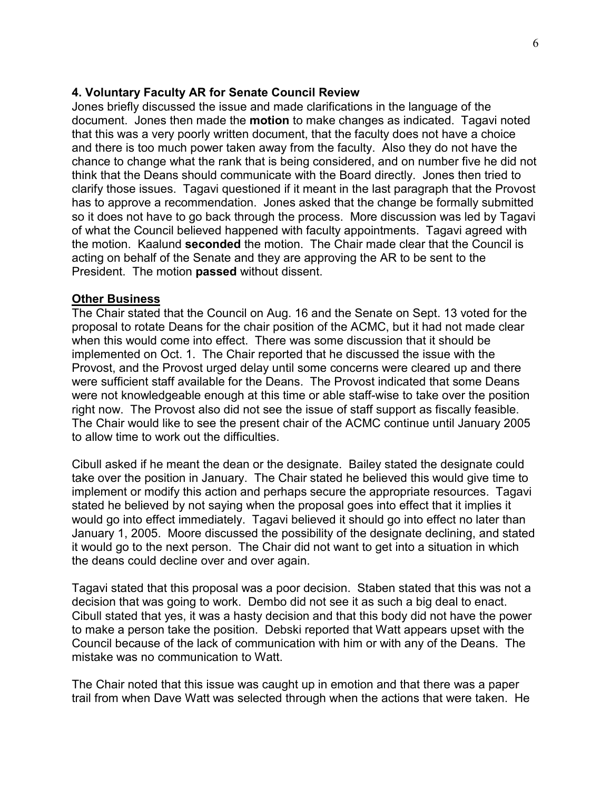### **4. Voluntary Faculty AR for Senate Council Review**

Jones briefly discussed the issue and made clarifications in the language of the document. Jones then made the **motion** to make changes as indicated. Tagavi noted that this was a very poorly written document, that the faculty does not have a choice and there is too much power taken away from the faculty. Also they do not have the chance to change what the rank that is being considered, and on number five he did not think that the Deans should communicate with the Board directly. Jones then tried to clarify those issues. Tagavi questioned if it meant in the last paragraph that the Provost has to approve a recommendation. Jones asked that the change be formally submitted so it does not have to go back through the process. More discussion was led by Tagavi of what the Council believed happened with faculty appointments. Tagavi agreed with the motion. Kaalund **seconded** the motion. The Chair made clear that the Council is acting on behalf of the Senate and they are approving the AR to be sent to the President. The motion **passed** without dissent.

#### **Other Business**

The Chair stated that the Council on Aug. 16 and the Senate on Sept. 13 voted for the proposal to rotate Deans for the chair position of the ACMC, but it had not made clear when this would come into effect. There was some discussion that it should be implemented on Oct. 1. The Chair reported that he discussed the issue with the Provost, and the Provost urged delay until some concerns were cleared up and there were sufficient staff available for the Deans. The Provost indicated that some Deans were not knowledgeable enough at this time or able staff-wise to take over the position right now. The Provost also did not see the issue of staff support as fiscally feasible. The Chair would like to see the present chair of the ACMC continue until January 2005 to allow time to work out the difficulties.

Cibull asked if he meant the dean or the designate. Bailey stated the designate could take over the position in January. The Chair stated he believed this would give time to implement or modify this action and perhaps secure the appropriate resources. Tagavi stated he believed by not saying when the proposal goes into effect that it implies it would go into effect immediately. Tagavi believed it should go into effect no later than January 1, 2005. Moore discussed the possibility of the designate declining, and stated it would go to the next person. The Chair did not want to get into a situation in which the deans could decline over and over again.

Tagavi stated that this proposal was a poor decision. Staben stated that this was not a decision that was going to work. Dembo did not see it as such a big deal to enact. Cibull stated that yes, it was a hasty decision and that this body did not have the power to make a person take the position. Debski reported that Watt appears upset with the Council because of the lack of communication with him or with any of the Deans. The mistake was no communication to Watt.

The Chair noted that this issue was caught up in emotion and that there was a paper trail from when Dave Watt was selected through when the actions that were taken. He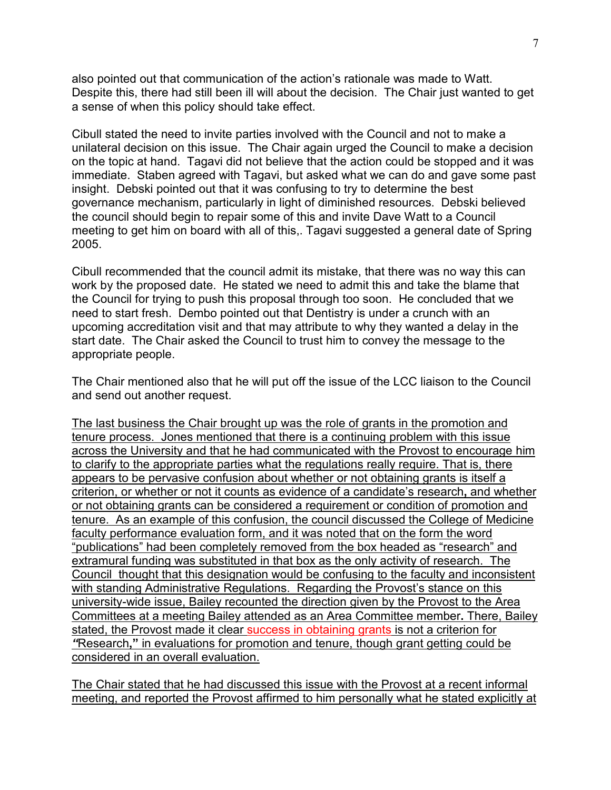also pointed out that communication of the action's rationale was made to Watt. Despite this, there had still been ill will about the decision. The Chair just wanted to get a sense of when this policy should take effect.

Cibull stated the need to invite parties involved with the Council and not to make a unilateral decision on this issue. The Chair again urged the Council to make a decision on the topic at hand. Tagavi did not believe that the action could be stopped and it was immediate. Staben agreed with Tagavi, but asked what we can do and gave some past insight. Debski pointed out that it was confusing to try to determine the best governance mechanism, particularly in light of diminished resources. Debski believed the council should begin to repair some of this and invite Dave Watt to a Council meeting to get him on board with all of this,. Tagavi suggested a general date of Spring 2005.

Cibull recommended that the council admit its mistake, that there was no way this can work by the proposed date. He stated we need to admit this and take the blame that the Council for trying to push this proposal through too soon. He concluded that we need to start fresh. Dembo pointed out that Dentistry is under a crunch with an upcoming accreditation visit and that may attribute to why they wanted a delay in the start date. The Chair asked the Council to trust him to convey the message to the appropriate people.

The Chair mentioned also that he will put off the issue of the LCC liaison to the Council and send out another request.

The last business the Chair brought up was the role of grants in the promotion and tenure process. Jones mentioned that there is a continuing problem with this issue across the University and that he had communicated with the Provost to encourage him to clarify to the appropriate parties what the regulations really require. That is, there appears to be pervasive confusion about whether or not obtaining grants is itself a criterion, or whether or not it counts as evidence of a candidate's research**,** and whether or not obtaining grants can be considered a requirement or condition of promotion and tenure. As an example of this confusion, the council discussed the College of Medicine faculty performance evaluation form, and it was noted that on the form the word "publications" had been completely removed from the box headed as "research" and extramural funding was substituted in that box as the only activity of research. The Council thought that this designation would be confusing to the faculty and inconsistent with standing Administrative Regulations. Regarding the Provost's stance on this university-wide issue, Bailey recounted the direction given by the Provost to the Area Committees at a meeting Bailey attended as an Area Committee member**.** There, Bailey stated, the Provost made it clear success in obtaining grants is not a criterion for *"*Research**,"** in evaluations for promotion and tenure, though grant getting could be considered in an overall evaluation.

The Chair stated that he had discussed this issue with the Provost at a recent informal meeting, and reported the Provost affirmed to him personally what he stated explicitly at